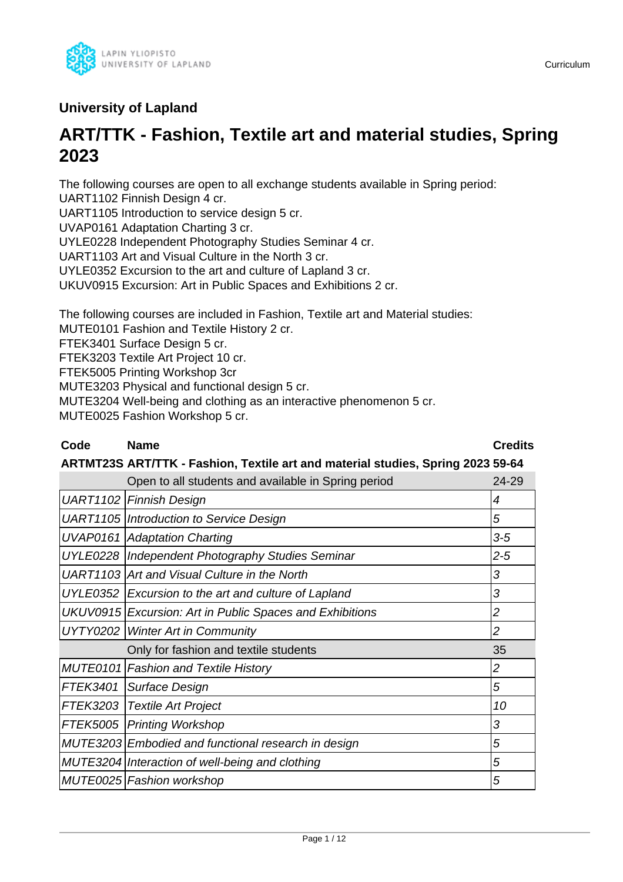

## **University of Lapland**

# **ART/TTK - Fashion, Textile art and material studies, Spring 2023**

The following courses are open to all exchange students available in Spring period: UART1102 Finnish Design 4 cr.

UART1105 Introduction to service design 5 cr.

UVAP0161 Adaptation Charting 3 cr.

UYLE0228 Independent Photography Studies Seminar 4 cr.

UART1103 Art and Visual Culture in the North 3 cr.

UYLE0352 Excursion to the art and culture of Lapland 3 cr.

UKUV0915 Excursion: Art in Public Spaces and Exhibitions 2 cr.

The following courses are included in Fashion, Textile art and Material studies:

MUTE0101 Fashion and Textile History 2 cr.

FTEK3401 Surface Design 5 cr.

FTEK3203 Textile Art Project 10 cr.

FTEK5005 Printing Workshop 3cr

MUTE3203 Physical and functional design 5 cr.

MUTE3204 Well-being and clothing as an interactive phenomenon 5 cr.

MUTE0025 Fashion Workshop 5 cr.

## **Code Name Credits**

## **ARTMT23S ART/TTK - Fashion, Textile art and material studies, Spring 2023 59-64**

|          | Open to all students and available in Spring period      | 24-29          |
|----------|----------------------------------------------------------|----------------|
|          | <b>UART1102 Finnish Design</b>                           | 4              |
|          | UART1105   Introduction to Service Design                | 5              |
|          | <b>UVAP0161 Adaptation Charting</b>                      | $3-5$          |
|          | UYLE0228   Independent Photography Studies Seminar       | $2 - 5$        |
|          | UART1103 Art and Visual Culture in the North             | 3              |
|          | UYLE0352 Excursion to the art and culture of Lapland     | 3              |
|          | UKUV0915 Excursion: Art in Public Spaces and Exhibitions | $\overline{c}$ |
|          | UYTY0202   Winter Art in Community                       | $\overline{c}$ |
|          | Only for fashion and textile students                    | 35             |
|          | MUTE0101 Fashion and Textile History                     | $\overline{c}$ |
| FTEK3401 | Surface Design                                           | 5              |
| FTEK3203 | Textile Art Project                                      | 10             |
|          | FTEK5005   Printing Workshop                             | 3              |
|          | MUTE3203 Embodied and functional research in design      | 5              |
|          | MUTE3204 Interaction of well-being and clothing          | 5              |
|          | MUTE0025 Fashion workshop                                | 5              |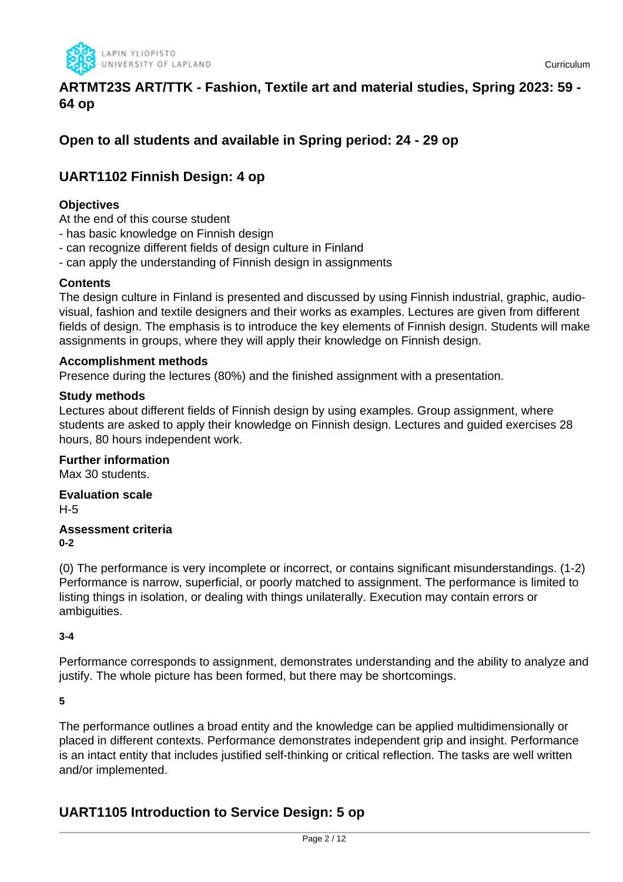

## **ARTMT23S ART/TTK - Fashion, Textile art and material studies, Spring 2023: 59 - 64 op**

## **Open to all students and available in Spring period: 24 - 29 op**

## **UART1102 Finnish Design: 4 op**

## **Objectives**

At the end of this course student

- has basic knowledge on Finnish design
- can recognize different fields of design culture in Finland
- can apply the understanding of Finnish design in assignments

## **Contents**

The design culture in Finland is presented and discussed by using Finnish industrial, graphic, audiovisual, fashion and textile designers and their works as examples. Lectures are given from different fields of design. The emphasis is to introduce the key elements of Finnish design. Students will make assignments in groups, where they will apply their knowledge on Finnish design.

#### **Accomplishment methods**

Presence during the lectures (80%) and the finished assignment with a presentation.

#### **Study methods**

Lectures about different fields of Finnish design by using examples. Group assignment, where students are asked to apply their knowledge on Finnish design. Lectures and guided exercises 28 hours, 80 hours independent work.

**Further information** Max 30 students.

**Evaluation scale** H-5

#### **Assessment criteria 0-2**

(0) The performance is very incomplete or incorrect, or contains significant misunderstandings. (1-2) Performance is narrow, superficial, or poorly matched to assignment. The performance is limited to listing things in isolation, or dealing with things unilaterally. Execution may contain errors or ambiguities.

#### **3-4**

Performance corresponds to assignment, demonstrates understanding and the ability to analyze and justify. The whole picture has been formed, but there may be shortcomings.

**5**

The performance outlines a broad entity and the knowledge can be applied multidimensionally or placed in different contexts. Performance demonstrates independent grip and insight. Performance is an intact entity that includes justified self-thinking or critical reflection. The tasks are well written and/or implemented.

## **UART1105 Introduction to Service Design: 5 op**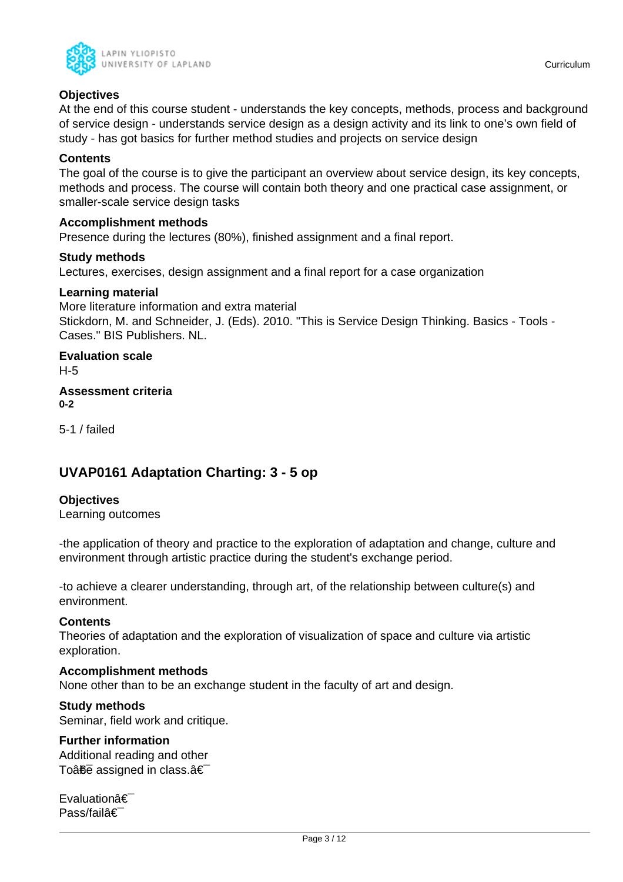

### **Objectives**

At the end of this course student - understands the key concepts, methods, process and background of service design - understands service design as a design activity and its link to one's own field of study - has got basics for further method studies and projects on service design

#### **Contents**

The goal of the course is to give the participant an overview about service design, its key concepts, methods and process. The course will contain both theory and one practical case assignment, or smaller-scale service design tasks

#### **Accomplishment methods**

Presence during the lectures (80%), finished assignment and a final report.

#### **Study methods**

Lectures, exercises, design assignment and a final report for a case organization

#### **Learning material**

More literature information and extra material Stickdorn, M. and Schneider, J. (Eds). 2010. "This is Service Design Thinking. Basics - Tools - Cases." BIS Publishers. NL.

**Evaluation scale** H-5

**Assessment criteria 0-2**

5-1 / failed

## **UVAP0161 Adaptation Charting: 3 - 5 op**

#### **Objectives**

Learning outcomes

-the application of theory and practice to the exploration of adaptation and change, culture and environment through artistic practice during the student's exchange period.

-to achieve a clearer understanding, through art, of the relationship between culture(s) and environment.

#### **Contents**

Theories of adaptation and the exploration of visualization of space and culture via artistic exploration.

#### **Accomplishment methods**

None other than to be an exchange student in the faculty of art and design.

#### **Study methods**

Seminar, field work and critique.

## **Further information**

Additional reading and other To $a\overline{b}\overline{c}$  assigned in class. $a\in$ 

**Evaluationâ€** Pass/failâ€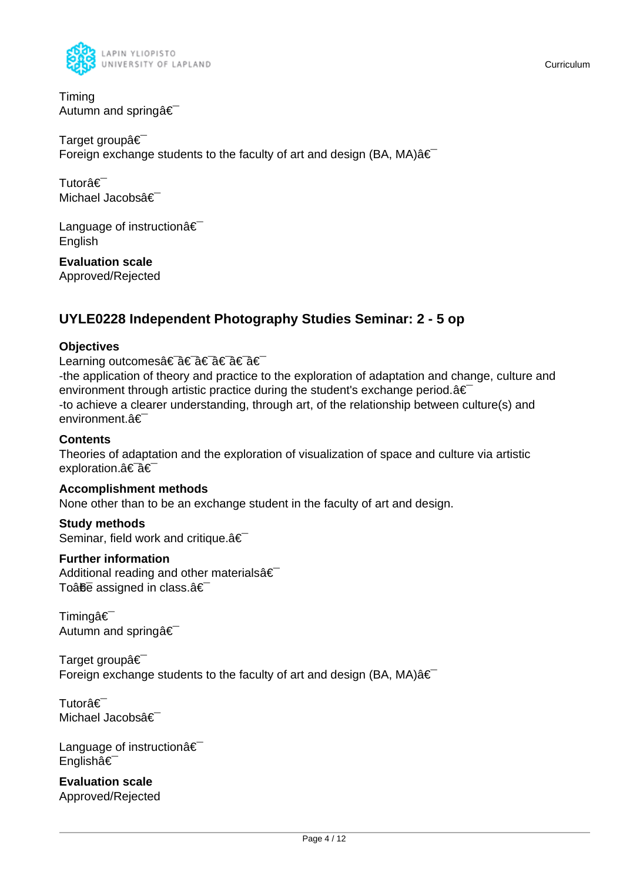

Timing Autumn and spring  $\hat{\mathbf{a}} \in \mathbb{R}$ 

Target groupâ€ Foreign exchange students to the faculty of art and design (BA, MA) $\hat{a} \in$ 

Tutorâ€⊤ Michael Jacobsâ€

Language of instructionâ€ English

**Evaluation scale** Approved/Rejected

## **UYLE0228 Independent Photography Studies Seminar: 2 - 5 op**

## **Objectives**

Learning outcomes†â€ a€ †â€ â€

-the application of theory and practice to the exploration of adaptation and change, culture and environment through artistic practice during the student's exchange period. $a \in \mathbb{R}$ -to achieve a clearer understanding, through art, of the relationship between culture(s) and environment.â€

## **Contents**

Theories of adaptation and the exploration of visualization of space and culture via artistic exploration.a<sup>€-</sup>a€

## **Accomplishment methods**

None other than to be an exchange student in the faculty of art and design.

## **Study methods**

Seminar, field work and critique. $\hat{a} \in \hat{C}$ 

## **Further information**

Additional reading and other materials  $\hat{\epsilon}$ To $\hat{a}$  $\hat{b}$ e assigned in class. $\hat{a} \in$ 

Timingâ€<sup>-</sup> Autumn and springa<sup>€</sup>

Target groupâ€ Foreign exchange students to the faculty of art and design (BA, MA) $\hat{a} \in$ 

Tutorâ€<sup>-</sup> Michael Jacobsâ€<sup>-</sup>

Language of instruction  $\hat{\mathbf{a}} \in \mathbb{R}$ Englishâ€

**Evaluation scale** Approved/Rejected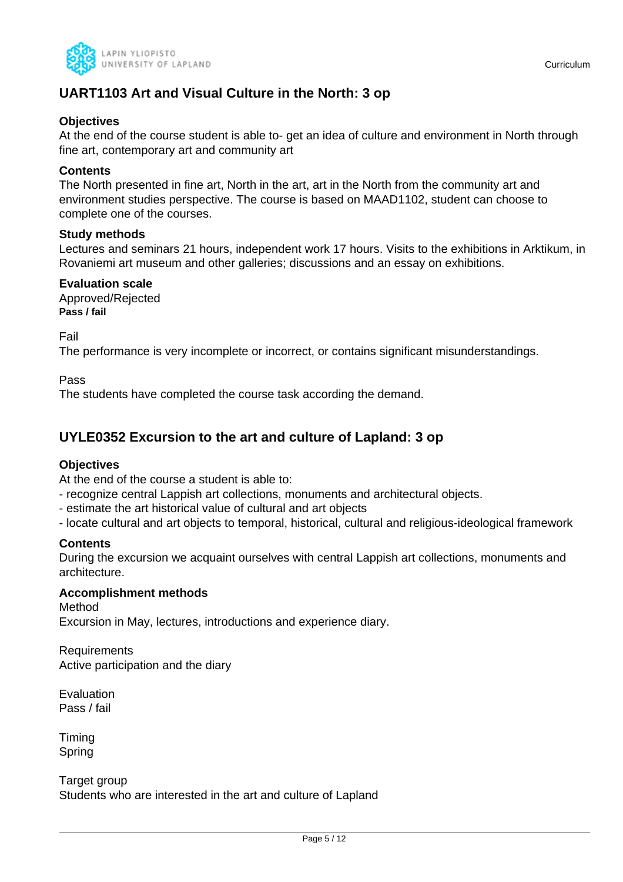

## **UART1103 Art and Visual Culture in the North: 3 op**

## **Objectives**

At the end of the course student is able to- get an idea of culture and environment in North through fine art, contemporary art and community art

## **Contents**

The North presented in fine art, North in the art, art in the North from the community art and environment studies perspective. The course is based on MAAD1102, student can choose to complete one of the courses.

#### **Study methods**

Lectures and seminars 21 hours, independent work 17 hours. Visits to the exhibitions in Arktikum, in Rovaniemi art museum and other galleries; discussions and an essay on exhibitions.

#### **Evaluation scale**

Approved/Rejected **Pass / fail**

Fail

The performance is very incomplete or incorrect, or contains significant misunderstandings.

Pass

The students have completed the course task according the demand.

## **UYLE0352 Excursion to the art and culture of Lapland: 3 op**

## **Objectives**

At the end of the course a student is able to:

- recognize central Lappish art collections, monuments and architectural objects.
- estimate the art historical value of cultural and art objects
- locate cultural and art objects to temporal, historical, cultural and religious-ideological framework

## **Contents**

During the excursion we acquaint ourselves with central Lappish art collections, monuments and architecture.

#### **Accomplishment methods**

Method Excursion in May, lectures, introductions and experience diary.

Requirements Active participation and the diary

Evaluation Pass / fail

Timing Spring

Target group Students who are interested in the art and culture of Lapland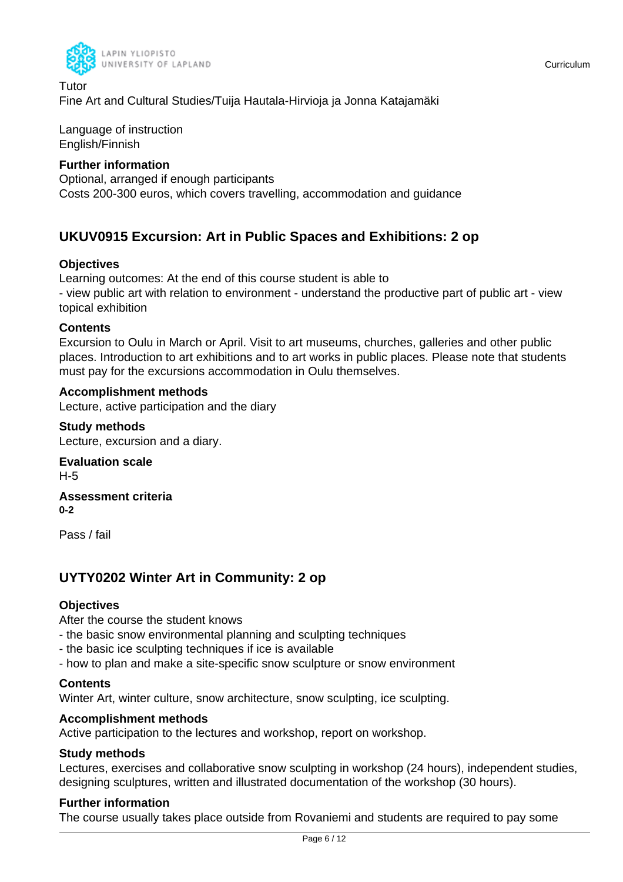

Tutor Fine Art and Cultural Studies/Tuija Hautala-Hirvioja ja Jonna Katajamäki

Language of instruction English/Finnish

## **Further information**

Optional, arranged if enough participants Costs 200-300 euros, which covers travelling, accommodation and guidance

## **UKUV0915 Excursion: Art in Public Spaces and Exhibitions: 2 op**

## **Objectives**

Learning outcomes: At the end of this course student is able to - view public art with relation to environment - understand the productive part of public art - view topical exhibition

## **Contents**

Excursion to Oulu in March or April. Visit to art museums, churches, galleries and other public places. Introduction to art exhibitions and to art works in public places. Please note that students must pay for the excursions accommodation in Oulu themselves.

## **Accomplishment methods**

Lecture, active participation and the diary

**Study methods** Lecture, excursion and a diary.

**Evaluation scale** H-5

**Assessment criteria 0-2**

Pass / fail

## **UYTY0202 Winter Art in Community: 2 op**

## **Objectives**

After the course the student knows

- the basic snow environmental planning and sculpting techniques
- the basic ice sculpting techniques if ice is available
- how to plan and make a site-specific snow sculpture or snow environment

#### **Contents**

Winter Art, winter culture, snow architecture, snow sculpting, ice sculpting.

#### **Accomplishment methods**

Active participation to the lectures and workshop, report on workshop.

#### **Study methods**

Lectures, exercises and collaborative snow sculpting in workshop (24 hours), independent studies, designing sculptures, written and illustrated documentation of the workshop (30 hours).

## **Further information**

The course usually takes place outside from Rovaniemi and students are required to pay some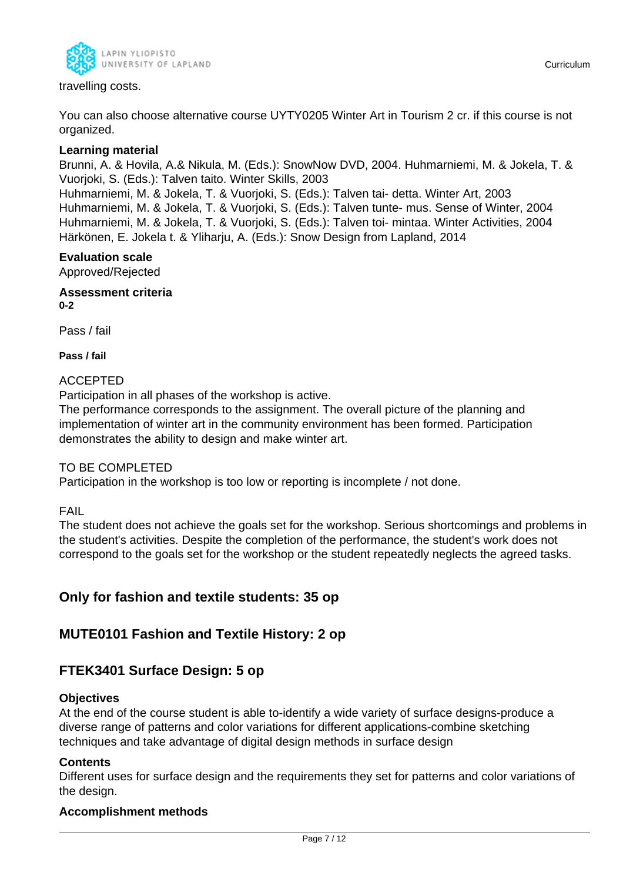

You can also choose alternative course UYTY0205 Winter Art in Tourism 2 cr. if this course is not organized.

### **Learning material**

Brunni, A. & Hovila, A.& Nikula, M. (Eds.): SnowNow DVD, 2004. Huhmarniemi, M. & Jokela, T. & Vuorjoki, S. (Eds.): Talven taito. Winter Skills, 2003

Huhmarniemi, M. & Jokela, T. & Vuorjoki, S. (Eds.): Talven tai- detta. Winter Art, 2003 Huhmarniemi, M. & Jokela, T. & Vuorjoki, S. (Eds.): Talven tunte- mus. Sense of Winter, 2004 Huhmarniemi, M. & Jokela, T. & Vuorjoki, S. (Eds.): Talven toi- mintaa. Winter Activities, 2004 Härkönen, E. Jokela t. & Yliharju, A. (Eds.): Snow Design from Lapland, 2014

## **Evaluation scale**

Approved/Rejected

**Assessment criteria 0-2**

Pass / fail

**Pass / fail**

#### ACCEPTED

Participation in all phases of the workshop is active.

The performance corresponds to the assignment. The overall picture of the planning and implementation of winter art in the community environment has been formed. Participation demonstrates the ability to design and make winter art.

#### TO BE COMPLETED

Participation in the workshop is too low or reporting is incomplete / not done.

#### FAIL

The student does not achieve the goals set for the workshop. Serious shortcomings and problems in the student's activities. Despite the completion of the performance, the student's work does not correspond to the goals set for the workshop or the student repeatedly neglects the agreed tasks.

## **Only for fashion and textile students: 35 op**

## **MUTE0101 Fashion and Textile History: 2 op**

## **FTEK3401 Surface Design: 5 op**

#### **Objectives**

At the end of the course student is able to-identify a wide variety of surface designs-produce a diverse range of patterns and color variations for different applications-combine sketching techniques and take advantage of digital design methods in surface design

#### **Contents**

Different uses for surface design and the requirements they set for patterns and color variations of the design.

#### **Accomplishment methods**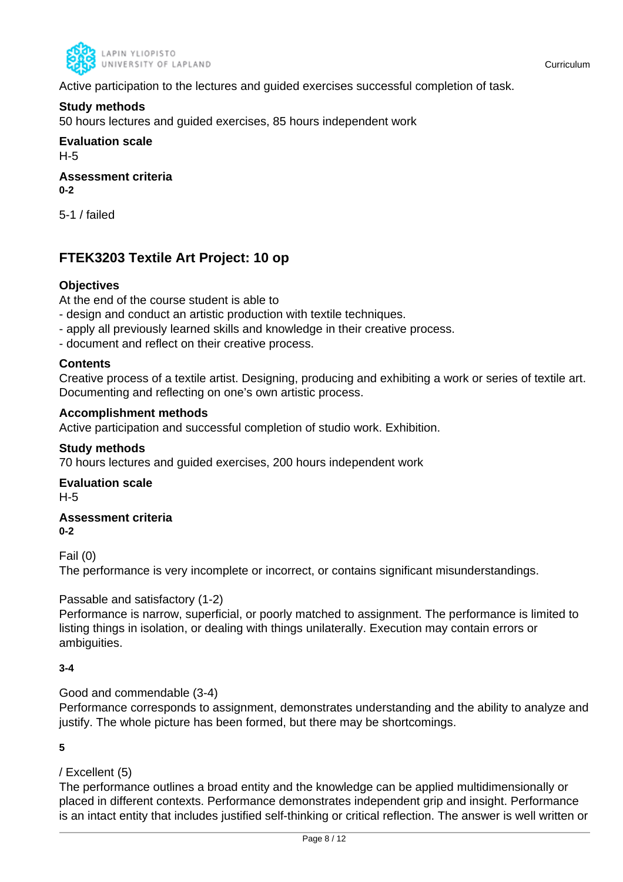

Active participation to the lectures and guided exercises successful completion of task.

## **Study methods**

50 hours lectures and guided exercises, 85 hours independent work

**Evaluation scale** H-5

**Assessment criteria 0-2**

5-1 / failed

## **FTEK3203 Textile Art Project: 10 op**

## **Objectives**

At the end of the course student is able to

- design and conduct an artistic production with textile techniques.
- apply all previously learned skills and knowledge in their creative process.
- document and reflect on their creative process.

## **Contents**

Creative process of a textile artist. Designing, producing and exhibiting a work or series of textile art. Documenting and reflecting on one's own artistic process.

## **Accomplishment methods**

Active participation and successful completion of studio work. Exhibition.

## **Study methods**

70 hours lectures and guided exercises, 200 hours independent work

## **Evaluation scale**

H-5

#### **Assessment criteria 0-2**

Fail (0)

The performance is very incomplete or incorrect, or contains significant misunderstandings.

## Passable and satisfactory (1-2)

Performance is narrow, superficial, or poorly matched to assignment. The performance is limited to listing things in isolation, or dealing with things unilaterally. Execution may contain errors or ambiguities.

## **3-4**

Good and commendable (3-4)

Performance corresponds to assignment, demonstrates understanding and the ability to analyze and justify. The whole picture has been formed, but there may be shortcomings.

#### **5**

## / Excellent (5)

The performance outlines a broad entity and the knowledge can be applied multidimensionally or placed in different contexts. Performance demonstrates independent grip and insight. Performance is an intact entity that includes justified self-thinking or critical reflection. The answer is well written or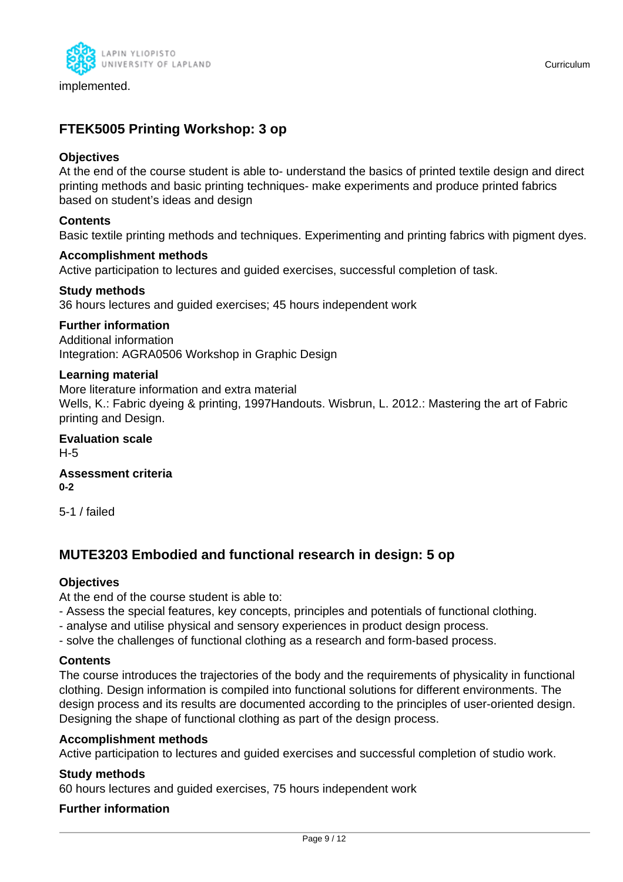

implemented.

## **FTEK5005 Printing Workshop: 3 op**

### **Objectives**

At the end of the course student is able to- understand the basics of printed textile design and direct printing methods and basic printing techniques- make experiments and produce printed fabrics based on student's ideas and design

## **Contents**

Basic textile printing methods and techniques. Experimenting and printing fabrics with pigment dyes.

#### **Accomplishment methods**

Active participation to lectures and guided exercises, successful completion of task.

## **Study methods**

36 hours lectures and guided exercises; 45 hours independent work

## **Further information**

Additional information Integration: AGRA0506 Workshop in Graphic Design

#### **Learning material**

More literature information and extra material Wells, K.: Fabric dyeing & printing, 1997Handouts. Wisbrun, L. 2012.: Mastering the art of Fabric printing and Design.

**Evaluation scale** H-5

**Assessment criteria 0-2**

5-1 / failed

## **MUTE3203 Embodied and functional research in design: 5 op**

## **Objectives**

At the end of the course student is able to:

- Assess the special features, key concepts, principles and potentials of functional clothing.
- analyse and utilise physical and sensory experiences in product design process.
- solve the challenges of functional clothing as a research and form-based process.

#### **Contents**

The course introduces the trajectories of the body and the requirements of physicality in functional clothing. Design information is compiled into functional solutions for different environments. The design process and its results are documented according to the principles of user-oriented design. Designing the shape of functional clothing as part of the design process.

#### **Accomplishment methods**

Active participation to lectures and guided exercises and successful completion of studio work.

#### **Study methods**

60 hours lectures and guided exercises, 75 hours independent work

#### **Further information**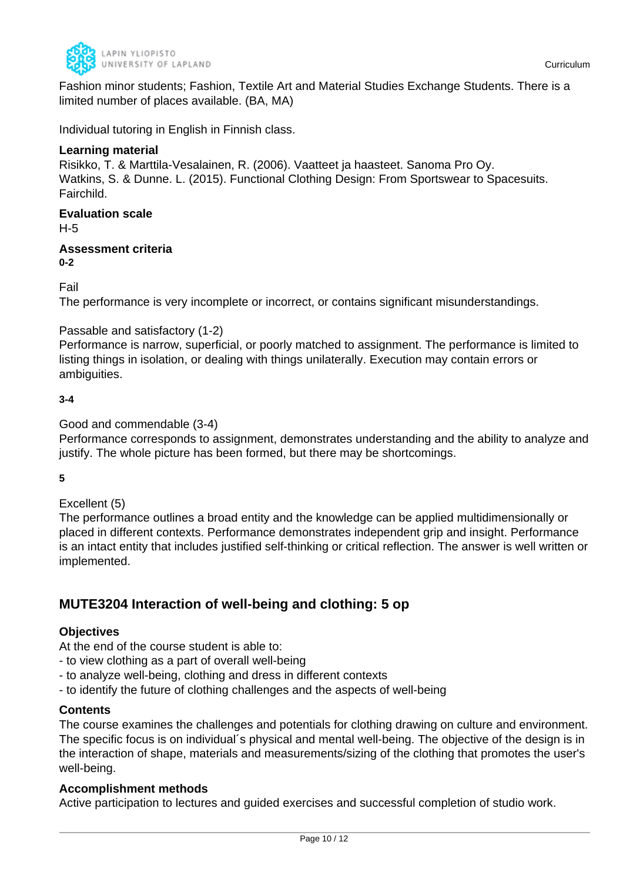

Fashion minor students; Fashion, Textile Art and Material Studies Exchange Students. There is a limited number of places available. (BA, MA)

Individual tutoring in English in Finnish class.

## **Learning material**

Risikko, T. & Marttila-Vesalainen, R. (2006). Vaatteet ja haasteet. Sanoma Pro Oy. Watkins, S. & Dunne. L. (2015). Functional Clothing Design: From Sportswear to Spacesuits. Fairchild.

#### **Evaluation scale** H-5

**Assessment criteria 0-2**

Fail

The performance is very incomplete or incorrect, or contains significant misunderstandings.

## Passable and satisfactory (1-2)

Performance is narrow, superficial, or poorly matched to assignment. The performance is limited to listing things in isolation, or dealing with things unilaterally. Execution may contain errors or ambiguities.

## **3-4**

## Good and commendable (3-4)

Performance corresponds to assignment, demonstrates understanding and the ability to analyze and justify. The whole picture has been formed, but there may be shortcomings.

**5**

## Excellent (5)

The performance outlines a broad entity and the knowledge can be applied multidimensionally or placed in different contexts. Performance demonstrates independent grip and insight. Performance is an intact entity that includes justified self-thinking or critical reflection. The answer is well written or implemented.

## **MUTE3204 Interaction of well-being and clothing: 5 op**

## **Objectives**

At the end of the course student is able to:

- to view clothing as a part of overall well-being
- to analyze well-being, clothing and dress in different contexts
- to identify the future of clothing challenges and the aspects of well-being

## **Contents**

The course examines the challenges and potentials for clothing drawing on culture and environment. The specific focus is on individual´s physical and mental well-being. The objective of the design is in the interaction of shape, materials and measurements/sizing of the clothing that promotes the user's well-being.

## **Accomplishment methods**

Active participation to lectures and guided exercises and successful completion of studio work.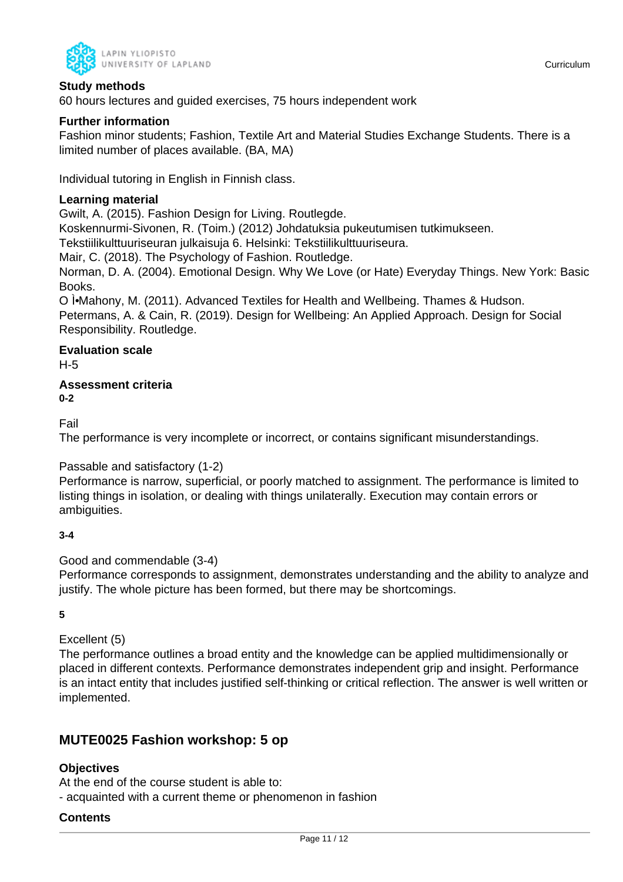

60 hours lectures and guided exercises, 75 hours independent work

## **Further information**

Fashion minor students; Fashion, Textile Art and Material Studies Exchange Students. There is a limited number of places available. (BA, MA)

Individual tutoring in English in Finnish class.

## **Learning material**

Gwilt, A. (2015). Fashion Design for Living. Routlegde.

Koskennurmi-Sivonen, R. (Toim.) (2012) Johdatuksia pukeutumisen tutkimukseen.

Tekstiilikulttuuriseuran julkaisuja 6. Helsinki: Tekstiilikulttuuriseura.

Mair, C. (2018). The Psychology of Fashion. Routledge.

Norman, D. A. (2004). Emotional Design. Why We Love (or Hate) Everyday Things. New York: Basic Books.

O I.Mahony, M. (2011). Advanced Textiles for Health and Wellbeing. Thames & Hudson. Petermans, A. & Cain, R. (2019). Design for Wellbeing: An Applied Approach. Design for Social Responsibility. Routledge.

## **Evaluation scale**

H-5

**Assessment criteria 0-2**

Fail

The performance is very incomplete or incorrect, or contains significant misunderstandings.

## Passable and satisfactory (1-2)

Performance is narrow, superficial, or poorly matched to assignment. The performance is limited to listing things in isolation, or dealing with things unilaterally. Execution may contain errors or ambiguities.

## **3-4**

Good and commendable (3-4)

Performance corresponds to assignment, demonstrates understanding and the ability to analyze and justify. The whole picture has been formed, but there may be shortcomings.

**5**

Excellent (5)

The performance outlines a broad entity and the knowledge can be applied multidimensionally or placed in different contexts. Performance demonstrates independent grip and insight. Performance is an intact entity that includes justified self-thinking or critical reflection. The answer is well written or implemented.

## **MUTE0025 Fashion workshop: 5 op**

## **Objectives**

At the end of the course student is able to:

- acquainted with a current theme or phenomenon in fashion

## **Contents**